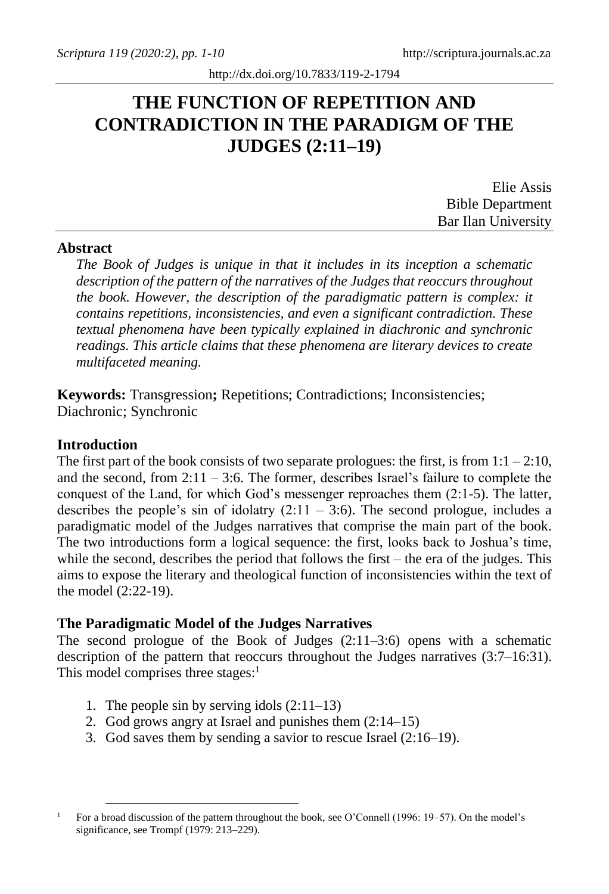# **THE FUNCTION OF REPETITION AND CONTRADICTION IN THE PARADIGM OF THE JUDGES (2:11–19)**

| Elie Assis              |
|-------------------------|
| <b>Bible Department</b> |
| Bar Ilan University     |

### **Abstract**

*The Book of Judges is unique in that it includes in its inception a schematic description of the pattern of the narratives of the Judges that reoccurs throughout the book. However, the description of the paradigmatic pattern is complex: it contains repetitions, inconsistencies, and even a significant contradiction. These textual phenomena have been typically explained in diachronic and synchronic readings. This article claims that these phenomena are literary devices to create multifaceted meaning.* 

**Keywords:** Transgression**;** Repetitions; Contradictions; Inconsistencies; Diachronic; Synchronic

#### **Introduction**

The first part of the book consists of two separate prologues: the first, is from  $1:1 - 2:10$ , and the second, from  $2:11 - 3:6$ . The former, describes Israel's failure to complete the conquest of the Land, for which God's messenger reproaches them (2:1-5). The latter, describes the people's sin of idolatry  $(2:11 - 3:6)$ . The second prologue, includes a paradigmatic model of the Judges narratives that comprise the main part of the book. The two introductions form a logical sequence: the first, looks back to Joshua's time, while the second, describes the period that follows the first – the era of the judges. This aims to expose the literary and theological function of inconsistencies within the text of the model (2:22-19).

#### **The Paradigmatic Model of the Judges Narratives**

The second prologue of the Book of Judges  $(2.11-3.6)$  opens with a schematic description of the pattern that reoccurs throughout the Judges narratives (3:7–16:31). This model comprises three stages: $<sup>1</sup>$ </sup>

- 1. The people sin by serving idols  $(2:11-13)$
- 2. God grows angry at Israel and punishes them (2:14–15)
- 3. God saves them by sending a savior to rescue Israel (2:16–19).

<sup>1</sup> For a broad discussion of the pattern throughout the book, see O'Connell (1996: 19–57). On the model's significance, see Trompf (1979: 213–229).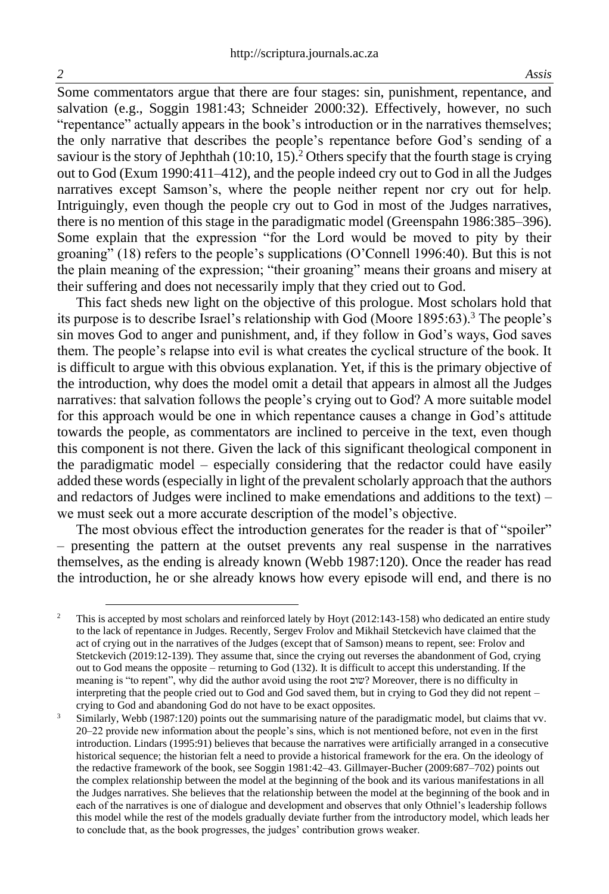Some commentators argue that there are four stages: sin, punishment, repentance, and salvation (e.g., Soggin 1981:43; Schneider 2000:32). Effectively, however, no such "repentance" actually appears in the book's introduction or in the narratives themselves; the only narrative that describes the people's repentance before God's sending of a saviour is the story of Jephthah  $(10:10, 15)$ .<sup>2</sup> Others specify that the fourth stage is crying out to God (Exum 1990:411–412), and the people indeed cry out to God in all the Judges narratives except Samson's, where the people neither repent nor cry out for help. Intriguingly, even though the people cry out to God in most of the Judges narratives, there is no mention of this stage in the paradigmatic model (Greenspahn 1986:385–396). Some explain that the expression "for the Lord would be moved to pity by their groaning" (18) refers to the people's supplications (O'Connell 1996:40). But this is not the plain meaning of the expression; "their groaning" means their groans and misery at their suffering and does not necessarily imply that they cried out to God.

This fact sheds new light on the objective of this prologue. Most scholars hold that its purpose is to describe Israel's relationship with God (Moore 1895:63).<sup>3</sup> The people's sin moves God to anger and punishment, and, if they follow in God's ways, God saves them. The people's relapse into evil is what creates the cyclical structure of the book. It is difficult to argue with this obvious explanation. Yet, if this is the primary objective of the introduction, why does the model omit a detail that appears in almost all the Judges narratives: that salvation follows the people's crying out to God? A more suitable model for this approach would be one in which repentance causes a change in God's attitude towards the people, as commentators are inclined to perceive in the text, even though this component is not there. Given the lack of this significant theological component in the paradigmatic model – especially considering that the redactor could have easily added these words (especially in light of the prevalent scholarly approach that the authors and redactors of Judges were inclined to make emendations and additions to the text) – we must seek out a more accurate description of the model's objective.

The most obvious effect the introduction generates for the reader is that of "spoiler" – presenting the pattern at the outset prevents any real suspense in the narratives themselves, as the ending is already known (Webb 1987:120). Once the reader has read the introduction, he or she already knows how every episode will end, and there is no

<sup>2</sup> This is accepted by most scholars and reinforced lately by Hoyt (2012:143-158) who dedicated an entire study to the lack of repentance in Judges. Recently, Sergev Frolov and Mikhail Stetckevich have claimed that the act of crying out in the narratives of the Judges (except that of Samson) means to repent, see: Frolov and Stetckevich (2019:12-139). They assume that, since the crying out reverses the abandonment of God, crying out to God means the opposite – returning to God (132). It is difficult to accept this understanding. If the meaning is "to repent", why did the author avoid using the root שוב ?Moreover, there is no difficulty in interpreting that the people cried out to God and God saved them, but in crying to God they did not repent – crying to God and abandoning God do not have to be exact opposites.

<sup>&</sup>lt;sup>3</sup> Similarly, Webb (1987:120) points out the summarising nature of the paradigmatic model, but claims that vv. 20–22 provide new information about the people's sins, which is not mentioned before, not even in the first introduction. Lindars (1995:91) believes that because the narratives were artificially arranged in a consecutive historical sequence; the historian felt a need to provide a historical framework for the era. On the ideology of the redactive framework of the book, see Soggin 1981:42–43. Gillmayer-Bucher (2009:687–702) points out the complex relationship between the model at the beginning of the book and its various manifestations in all the Judges narratives. She believes that the relationship between the model at the beginning of the book and in each of the narratives is one of dialogue and development and observes that only Othniel's leadership follows this model while the rest of the models gradually deviate further from the introductory model, which leads her to conclude that, as the book progresses, the judges' contribution grows weaker.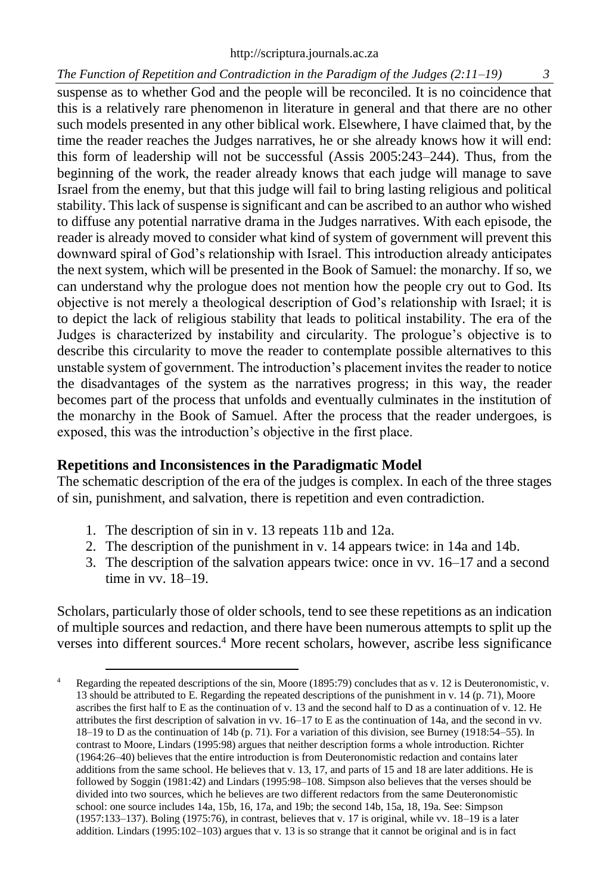### *The Function of Repetition and Contradiction in the Paradigm of the Judges (2:11–19)*

suspense as to whether God and the people will be reconciled. It is no coincidence that this is a relatively rare phenomenon in literature in general and that there are no other such models presented in any other biblical work. Elsewhere, I have claimed that, by the time the reader reaches the Judges narratives, he or she already knows how it will end: this form of leadership will not be successful (Assis 2005:243–244). Thus, from the beginning of the work, the reader already knows that each judge will manage to save Israel from the enemy, but that this judge will fail to bring lasting religious and political stability. This lack of suspense is significant and can be ascribed to an author who wished to diffuse any potential narrative drama in the Judges narratives. With each episode, the reader is already moved to consider what kind of system of government will prevent this downward spiral of God's relationship with Israel. This introduction already anticipates the next system, which will be presented in the Book of Samuel: the monarchy. If so, we can understand why the prologue does not mention how the people cry out to God. Its objective is not merely a theological description of God's relationship with Israel; it is to depict the lack of religious stability that leads to political instability. The era of the Judges is characterized by instability and circularity. The prologue's objective is to describe this circularity to move the reader to contemplate possible alternatives to this unstable system of government. The introduction's placement invites the reader to notice the disadvantages of the system as the narratives progress; in this way, the reader becomes part of the process that unfolds and eventually culminates in the institution of the monarchy in the Book of Samuel. After the process that the reader undergoes, is exposed, this was the introduction's objective in the first place.

# **Repetitions and Inconsistences in the Paradigmatic Model**

The schematic description of the era of the judges is complex. In each of the three stages of sin, punishment, and salvation, there is repetition and even contradiction.

- 1. The description of sin in v. 13 repeats 11b and 12a.
- 2. The description of the punishment in v. 14 appears twice: in 14a and 14b.
- 3. The description of the salvation appears twice: once in vv. 16–17 and a second time in vv. 18–19.

Scholars, particularly those of older schools, tend to see these repetitions as an indication of multiple sources and redaction, and there have been numerous attempts to split up the verses into different sources.<sup>4</sup> More recent scholars, however, ascribe less significance

<sup>&</sup>lt;sup>4</sup> Regarding the repeated descriptions of the sin, Moore (1895:79) concludes that as v. 12 is Deuteronomistic, v. 13 should be attributed to E. Regarding the repeated descriptions of the punishment in v. 14 (p. 71), Moore ascribes the first half to E as the continuation of v. 13 and the second half to D as a continuation of v. 12. He attributes the first description of salvation in vv. 16–17 to E as the continuation of 14a, and the second in vv. 18–19 to D as the continuation of 14b (p. 71). For a variation of this division, see Burney (1918:54–55). In contrast to Moore, Lindars (1995:98) argues that neither description forms a whole introduction. Richter (1964:26–40) believes that the entire introduction is from Deuteronomistic redaction and contains later additions from the same school. He believes that v. 13, 17, and parts of 15 and 18 are later additions. He is followed by Soggin (1981:42) and Lindars (1995:98–108. Simpson also believes that the verses should be divided into two sources, which he believes are two different redactors from the same Deuteronomistic school: one source includes 14a, 15b, 16, 17a, and 19b; the second 14b, 15a, 18, 19a. See: Simpson (1957:133–137). Boling (1975:76), in contrast, believes that v. 17 is original, while vv. 18–19 is a later addition. Lindars (1995:102–103) argues that v. 13 is so strange that it cannot be original and is in fact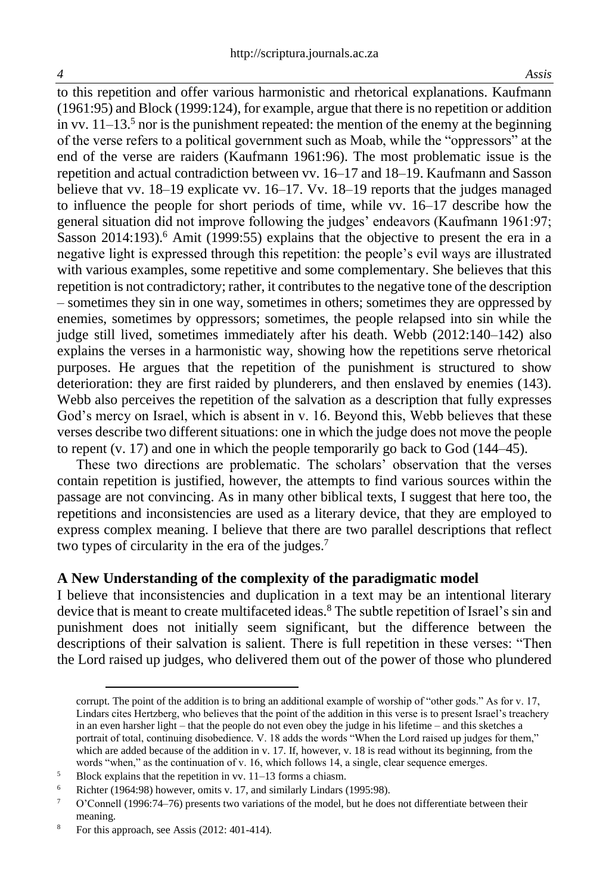to this repetition and offer various harmonistic and rhetorical explanations. Kaufmann (1961:95) and Block (1999:124), for example, argue that there is no repetition or addition in vv.  $11-13<sup>5</sup>$  nor is the punishment repeated: the mention of the enemy at the beginning of the verse refers to a political government such as Moab, while the "oppressors" at the end of the verse are raiders (Kaufmann 1961:96). The most problematic issue is the repetition and actual contradiction between vv. 16–17 and 18–19. Kaufmann and Sasson believe that vv. 18–19 explicate vv. 16–17. Vv. 18–19 reports that the judges managed to influence the people for short periods of time, while vv. 16–17 describe how the general situation did not improve following the judges' endeavors (Kaufmann 1961:97; Sasson 2014:193).<sup>6</sup> Amit (1999:55) explains that the objective to present the era in a negative light is expressed through this repetition: the people's evil ways are illustrated with various examples, some repetitive and some complementary. She believes that this repetition is not contradictory; rather, it contributes to the negative tone of the description – sometimes they sin in one way, sometimes in others; sometimes they are oppressed by enemies, sometimes by oppressors; sometimes, the people relapsed into sin while the judge still lived, sometimes immediately after his death. Webb (2012:140–142) also explains the verses in a harmonistic way, showing how the repetitions serve rhetorical purposes. He argues that the repetition of the punishment is structured to show deterioration: they are first raided by plunderers, and then enslaved by enemies (143). Webb also perceives the repetition of the salvation as a description that fully expresses God's mercy on Israel, which is absent in v. 16. Beyond this, Webb believes that these verses describe two different situations: one in which the judge does not move the people to repent  $(v, 17)$  and one in which the people temporarily go back to God  $(144–45)$ .

These two directions are problematic. The scholars' observation that the verses contain repetition is justified, however, the attempts to find various sources within the passage are not convincing. As in many other biblical texts, I suggest that here too, the repetitions and inconsistencies are used as a literary device, that they are employed to express complex meaning. I believe that there are two parallel descriptions that reflect two types of circularity in the era of the judges.<sup>7</sup>

#### **A New Understanding of the complexity of the paradigmatic model**

I believe that inconsistencies and duplication in a text may be an intentional literary device that is meant to create multifaceted ideas.<sup>8</sup> The subtle repetition of Israel's sin and punishment does not initially seem significant, but the difference between the descriptions of their salvation is salient. There is full repetition in these verses: "Then the Lord raised up judges, who delivered them out of the power of those who plundered

corrupt. The point of the addition is to bring an additional example of worship of "other gods." As for v. 17, Lindars cites Hertzberg, who believes that the point of the addition in this verse is to present Israel's treachery in an even harsher light – that the people do not even obey the judge in his lifetime – and this sketches a portrait of total, continuing disobedience. V. 18 adds the words "When the Lord raised up judges for them," which are added because of the addition in v. 17. If, however, v. 18 is read without its beginning, from the words "when," as the continuation of v. 16, which follows 14, a single, clear sequence emerges.

<sup>5</sup> Block explains that the repetition in vv. 11–13 forms a chiasm.

<sup>&</sup>lt;sup>6</sup> Richter (1964:98) however, omits v. 17, and similarly Lindars (1995:98).

<sup>&</sup>lt;sup>7</sup> O'Connell (1996:74–76) presents two variations of the model, but he does not differentiate between their meaning.

<sup>&</sup>lt;sup>8</sup> For this approach, see Assis (2012: 401-414).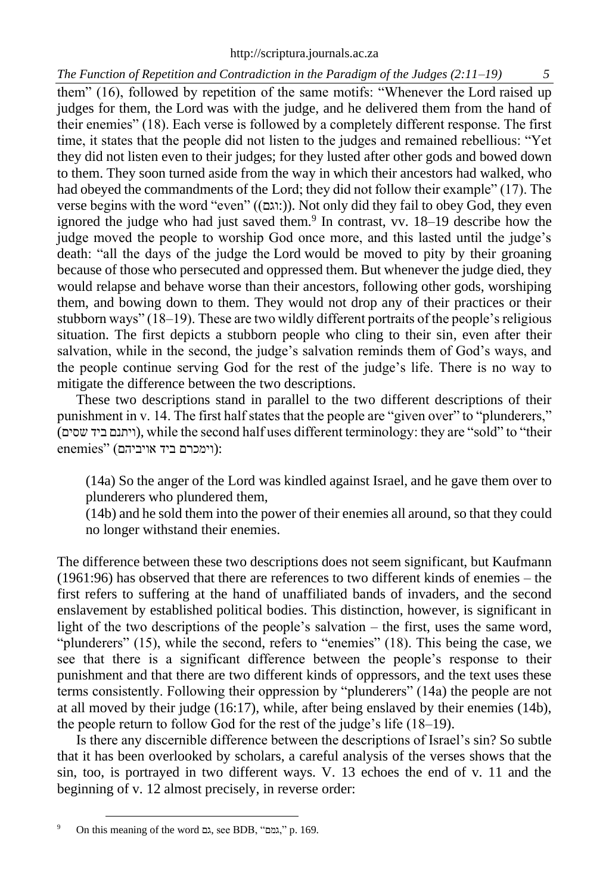# *The Function of Repetition and Contradiction in the Paradigm of the Judges (2:11–19) 5*

them" (16), followed by repetition of the same motifs: "Whenever the Lord raised up judges for them, the Lord was with the judge, and he delivered them from the hand of their enemies" (18). Each verse is followed by a completely different response. The first time, it states that the people did not listen to the judges and remained rebellious: "Yet they did not listen even to their judges; for they lusted after other gods and bowed down to them. They soon turned aside from the way in which their ancestors had walked, who had obeyed the commandments of the Lord; they did not follow their example" (17). The verse begins with the word "even" ((:וגם)). Not only did they fail to obey God, they even ignored the judge who had just saved them.<sup>9</sup> In contrast, vv. 18–19 describe how the judge moved the people to worship God once more, and this lasted until the judge's death: "all the days of the judge the Lord would be moved to pity by their groaning because of those who persecuted and oppressed them. But whenever the judge died, they would relapse and behave worse than their ancestors, following other gods, worshiping them, and bowing down to them. They would not drop any of their practices or their stubborn ways" (18–19). These are two wildly different portraits of the people's religious situation. The first depicts a stubborn people who cling to their sin, even after their salvation, while in the second, the judge's salvation reminds them of God's ways, and the people continue serving God for the rest of the judge's life. There is no way to mitigate the difference between the two descriptions.

These two descriptions stand in parallel to the two different descriptions of their punishment in v. 14. The first half states that the people are "given over" to "plunderers," (שסים ביד ויתנם(, while the second half uses different terminology: they are "sold" to "their :(וימכרם ביד אויביהם) "enemies

(14a) So the anger of the Lord was kindled against Israel, and he gave them over to plunderers who plundered them,

(14b) and he sold them into the power of their enemies all around, so that they could no longer withstand their enemies.

The difference between these two descriptions does not seem significant, but Kaufmann (1961:96) has observed that there are references to two different kinds of enemies – the first refers to suffering at the hand of unaffiliated bands of invaders, and the second enslavement by established political bodies. This distinction, however, is significant in light of the two descriptions of the people's salvation – the first, uses the same word, "plunderers" (15), while the second, refers to "enemies" (18). This being the case, we see that there is a significant difference between the people's response to their punishment and that there are two different kinds of oppressors, and the text uses these terms consistently. Following their oppression by "plunderers" (14a) the people are not at all moved by their judge (16:17), while, after being enslaved by their enemies (14b), the people return to follow God for the rest of the judge's life (18–19).

Is there any discernible difference between the descriptions of Israel's sin? So subtle that it has been overlooked by scholars, a careful analysis of the verses shows that the sin, too, is portrayed in two different ways. V. 13 echoes the end of v. 11 and the beginning of v. 12 almost precisely, in reverse order:

<sup>9</sup> On this meaning of the word גם, see BDB, "גמם, "p. 169.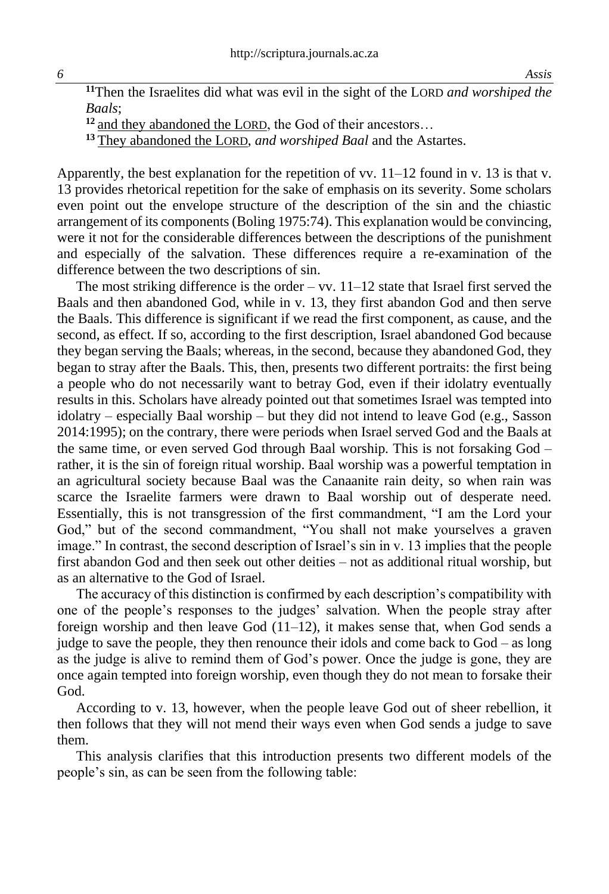*6 Assis*

**<sup>11</sup>**Then the Israelites did what was evil in the sight of the LORD *and worshiped the Baals*;

**<sup>12</sup>** and they abandoned the LORD, the God of their ancestors…

**<sup>13</sup>** They abandoned the LORD, *and worshiped Baal* and the Astartes.

Apparently, the best explanation for the repetition of vv.  $11-12$  found in v. 13 is that v. 13 provides rhetorical repetition for the sake of emphasis on its severity. Some scholars even point out the envelope structure of the description of the sin and the chiastic arrangement of its components (Boling 1975:74). This explanation would be convincing, were it not for the considerable differences between the descriptions of the punishment and especially of the salvation. These differences require a re-examination of the difference between the two descriptions of sin.

The most striking difference is the order – vv.  $11-12$  state that Israel first served the Baals and then abandoned God, while in v. 13, they first abandon God and then serve the Baals. This difference is significant if we read the first component, as cause, and the second, as effect. If so, according to the first description, Israel abandoned God because they began serving the Baals; whereas, in the second, because they abandoned God, they began to stray after the Baals. This, then, presents two different portraits: the first being a people who do not necessarily want to betray God, even if their idolatry eventually results in this. Scholars have already pointed out that sometimes Israel was tempted into idolatry – especially Baal worship – but they did not intend to leave God (e.g., Sasson 2014:1995); on the contrary, there were periods when Israel served God and the Baals at the same time, or even served God through Baal worship. This is not forsaking God – rather, it is the sin of foreign ritual worship. Baal worship was a powerful temptation in an agricultural society because Baal was the Canaanite rain deity, so when rain was scarce the Israelite farmers were drawn to Baal worship out of desperate need. Essentially, this is not transgression of the first commandment, "I am the Lord your God," but of the second commandment, "You shall not make yourselves a graven image." In contrast, the second description of Israel's sin in v. 13 implies that the people first abandon God and then seek out other deities – not as additional ritual worship, but as an alternative to the God of Israel.

The accuracy of this distinction is confirmed by each description's compatibility with one of the people's responses to the judges' salvation. When the people stray after foreign worship and then leave God  $(11-12)$ , it makes sense that, when God sends a judge to save the people, they then renounce their idols and come back to God – as long as the judge is alive to remind them of God's power. Once the judge is gone, they are once again tempted into foreign worship, even though they do not mean to forsake their God.

According to v. 13, however, when the people leave God out of sheer rebellion, it then follows that they will not mend their ways even when God sends a judge to save them.

This analysis clarifies that this introduction presents two different models of the people's sin, as can be seen from the following table: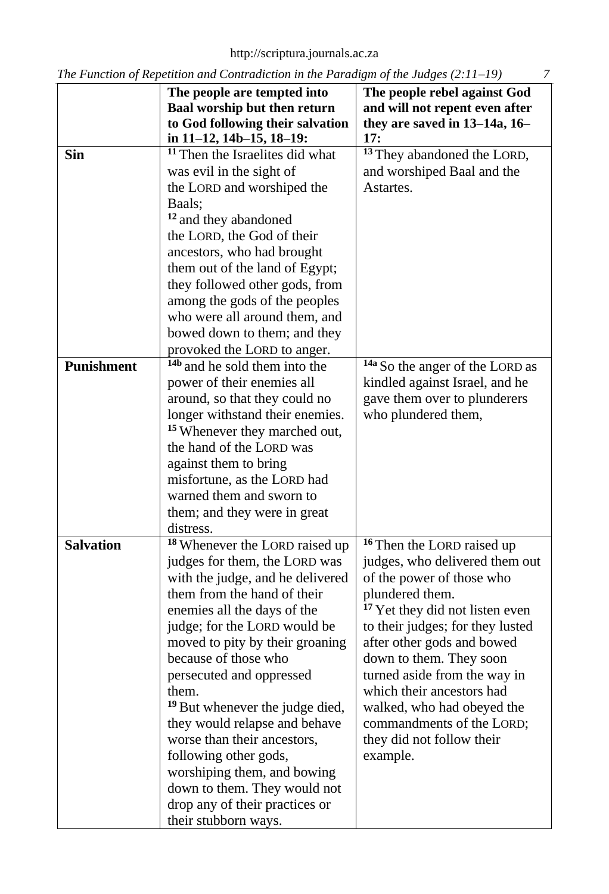[http://scriptura.journals.ac.za](http://scriptura.journals.ac.za/)

|                   | The Function of Repetition and Commutenon in the Fundagin of the stages $(2.11, 12)$<br>The people are tempted into | The people rebel against God               |
|-------------------|---------------------------------------------------------------------------------------------------------------------|--------------------------------------------|
|                   | Baal worship but then return                                                                                        | and will not repent even after             |
|                   | to God following their salvation                                                                                    | they are saved in 13-14a, 16-              |
|                   | in 11-12, 14b-15, 18-19:                                                                                            | 17:                                        |
| <b>Sin</b>        | <sup>11</sup> Then the Israelites did what                                                                          | <sup>13</sup> They abandoned the LORD,     |
|                   | was evil in the sight of                                                                                            | and worshiped Baal and the                 |
|                   | the LORD and worshiped the                                                                                          | Astartes.                                  |
|                   | Baals;                                                                                                              |                                            |
|                   | <sup>12</sup> and they abandoned                                                                                    |                                            |
|                   | the LORD, the God of their                                                                                          |                                            |
|                   |                                                                                                                     |                                            |
|                   | ancestors, who had brought                                                                                          |                                            |
|                   | them out of the land of Egypt;                                                                                      |                                            |
|                   | they followed other gods, from                                                                                      |                                            |
|                   | among the gods of the peoples                                                                                       |                                            |
|                   | who were all around them, and                                                                                       |                                            |
|                   | bowed down to them; and they                                                                                        |                                            |
|                   | provoked the LORD to anger.                                                                                         |                                            |
| <b>Punishment</b> | <sup>14b</sup> and he sold them into the                                                                            | <sup>14a</sup> So the anger of the LORD as |
|                   | power of their enemies all                                                                                          | kindled against Israel, and he             |
|                   | around, so that they could no                                                                                       | gave them over to plunderers               |
|                   | longer withstand their enemies.                                                                                     | who plundered them,                        |
|                   | <sup>15</sup> Whenever they marched out,                                                                            |                                            |
|                   | the hand of the LORD was                                                                                            |                                            |
|                   | against them to bring                                                                                               |                                            |
|                   | misfortune, as the LORD had                                                                                         |                                            |
|                   | warned them and sworn to                                                                                            |                                            |
|                   | them; and they were in great                                                                                        |                                            |
|                   | distress.                                                                                                           |                                            |
| <b>Salvation</b>  | <sup>18</sup> Whenever the LORD raised up                                                                           | <sup>16</sup> Then the LORD raised up      |
|                   | judges for them, the LORD was                                                                                       | judges, who delivered them out             |
|                   | with the judge, and he delivered                                                                                    | of the power of those who                  |
|                   | them from the hand of their                                                                                         | plundered them.                            |
|                   | enemies all the days of the                                                                                         | <sup>17</sup> Yet they did not listen even |
|                   | judge; for the LORD would be                                                                                        | to their judges; for they lusted           |
|                   | moved to pity by their groaning                                                                                     | after other gods and bowed                 |
|                   | because of those who                                                                                                |                                            |
|                   |                                                                                                                     | down to them. They soon                    |
|                   | persecuted and oppressed                                                                                            | turned aside from the way in               |
|                   | them.                                                                                                               | which their ancestors had                  |
|                   | <sup>19</sup> But whenever the judge died,                                                                          | walked, who had obeyed the                 |
|                   | they would relapse and behave                                                                                       | commandments of the LORD;                  |
|                   | worse than their ancestors,                                                                                         | they did not follow their                  |
|                   | following other gods,                                                                                               | example.                                   |
|                   | worshiping them, and bowing                                                                                         |                                            |
|                   | down to them. They would not                                                                                        |                                            |
|                   | drop any of their practices or                                                                                      |                                            |
|                   | their stubborn ways.                                                                                                |                                            |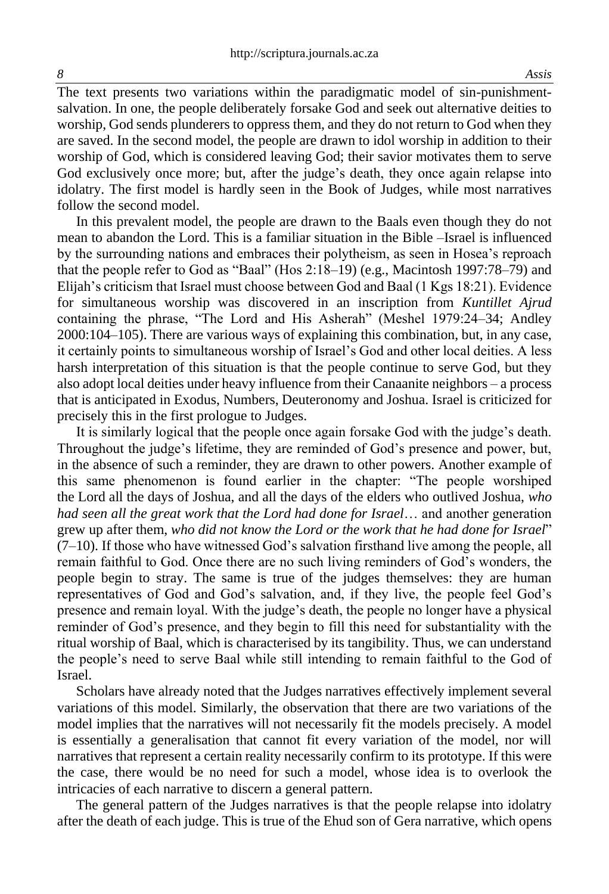The text presents two variations within the paradigmatic model of sin-punishmentsalvation. In one, the people deliberately forsake God and seek out alternative deities to worship, God sends plunderers to oppress them, and they do not return to God when they are saved. In the second model, the people are drawn to idol worship in addition to their worship of God, which is considered leaving God; their savior motivates them to serve God exclusively once more; but, after the judge's death, they once again relapse into idolatry. The first model is hardly seen in the Book of Judges, while most narratives follow the second model.

In this prevalent model, the people are drawn to the Baals even though they do not mean to abandon the Lord. This is a familiar situation in the Bible –Israel is influenced by the surrounding nations and embraces their polytheism, as seen in Hosea's reproach that the people refer to God as "Baal" (Hos 2:18–19) (e.g., Macintosh 1997:78–79) and Elijah's criticism that Israel must choose between God and Baal (1 Kgs 18:21). Evidence for simultaneous worship was discovered in an inscription from *Kuntillet Ajrud* containing the phrase, "The Lord and His Asherah" (Meshel 1979:24–34; Andley 2000:104–105). There are various ways of explaining this combination, but, in any case, it certainly points to simultaneous worship of Israel's God and other local deities. A less harsh interpretation of this situation is that the people continue to serve God, but they also adopt local deities under heavy influence from their Canaanite neighbors – a process that is anticipated in Exodus, Numbers, Deuteronomy and Joshua. Israel is criticized for precisely this in the first prologue to Judges.

It is similarly logical that the people once again forsake God with the judge's death. Throughout the judge's lifetime, they are reminded of God's presence and power, but, in the absence of such a reminder, they are drawn to other powers. Another example of this same phenomenon is found earlier in the chapter: "The people worshiped the Lord all the days of Joshua, and all the days of the elders who outlived Joshua, *who had seen all the great work that the Lord had done for Israel*… and another generation grew up after them, *who did not know the Lord or the work that he had done for Israel*"  $(7–10)$ . If those who have witnessed God's salvation firsthand live among the people, all remain faithful to God. Once there are no such living reminders of God's wonders, the people begin to stray. The same is true of the judges themselves: they are human representatives of God and God's salvation, and, if they live, the people feel God's presence and remain loyal. With the judge's death, the people no longer have a physical reminder of God's presence, and they begin to fill this need for substantiality with the ritual worship of Baal, which is characterised by its tangibility. Thus, we can understand the people's need to serve Baal while still intending to remain faithful to the God of Israel.

Scholars have already noted that the Judges narratives effectively implement several variations of this model. Similarly, the observation that there are two variations of the model implies that the narratives will not necessarily fit the models precisely. A model is essentially a generalisation that cannot fit every variation of the model, nor will narratives that represent a certain reality necessarily confirm to its prototype. If this were the case, there would be no need for such a model, whose idea is to overlook the intricacies of each narrative to discern a general pattern.

The general pattern of the Judges narratives is that the people relapse into idolatry after the death of each judge. This is true of the Ehud son of Gera narrative, which opens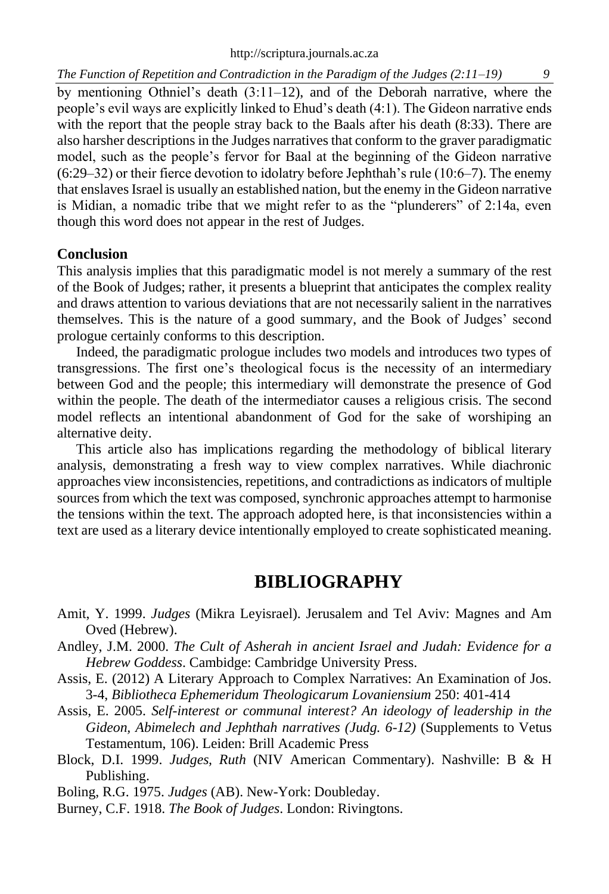*The Function of Repetition and Contradiction in the Paradigm of the Judges (2:11–19)* 

by mentioning Othniel's death (3:11–12), and of the Deborah narrative, where the people's evil ways are explicitly linked to Ehud's death (4:1). The Gideon narrative ends with the report that the people stray back to the Baals after his death (8:33). There are also harsher descriptions in the Judges narratives that conform to the graver paradigmatic model, such as the people's fervor for Baal at the beginning of the Gideon narrative (6:29–32) or their fierce devotion to idolatry before Jephthah's rule (10:6–7). The enemy that enslaves Israel is usually an established nation, but the enemy in the Gideon narrative is Midian, a nomadic tribe that we might refer to as the "plunderers" of 2:14a, even though this word does not appear in the rest of Judges.

# **Conclusion**

This analysis implies that this paradigmatic model is not merely a summary of the rest of the Book of Judges; rather, it presents a blueprint that anticipates the complex reality and draws attention to various deviations that are not necessarily salient in the narratives themselves. This is the nature of a good summary, and the Book of Judges' second prologue certainly conforms to this description.

Indeed, the paradigmatic prologue includes two models and introduces two types of transgressions. The first one's theological focus is the necessity of an intermediary between God and the people; this intermediary will demonstrate the presence of God within the people. The death of the intermediator causes a religious crisis. The second model reflects an intentional abandonment of God for the sake of worshiping an alternative deity.

This article also has implications regarding the methodology of biblical literary analysis, demonstrating a fresh way to view complex narratives. While diachronic approaches view inconsistencies, repetitions, and contradictions as indicators of multiple sources from which the text was composed, synchronic approaches attempt to harmonise the tensions within the text. The approach adopted here, is that inconsistencies within a text are used as a literary device intentionally employed to create sophisticated meaning.

# **BIBLIOGRAPHY**

- Amit, Y. 1999. *Judges* (Mikra Leyisrael). Jerusalem and Tel Aviv: Magnes and Am Oved (Hebrew).
- Andley, J.M. 2000. *The Cult of Asherah in ancient Israel and Judah: Evidence for a Hebrew Goddess*. Cambidge: Cambridge University Press.
- Assis, E. (2012) A Literary Approach to Complex Narratives: An Examination of Jos. 3-4, *Bibliotheca Ephemeridum Theologicarum Lovaniensium* 250: 401-414

Assis, E. 2005. *Self-interest or communal interest? An ideology of leadership in the Gideon, Abimelech and Jephthah narratives (Judg. 6-12)* (Supplements to Vetus Testamentum, 106). Leiden: Brill Academic Press

Block, D.I. 1999. *Judges, Ruth* (NIV American Commentary). Nashville: B & H Publishing.

Boling, R.G. 1975. *Judges* (AB). New-York: Doubleday.

Burney, C.F. 1918. *The Book of Judges*. London: Rivingtons.